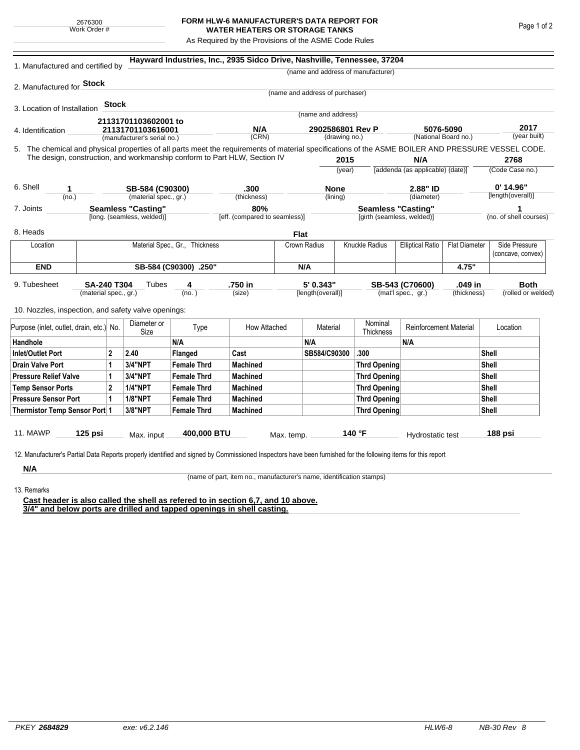## **FORM HLW-6 MANUFACTURER'S DATA REPORT FOR WATER HEATERS OR STORAGE TANKS**

As Required by the Provisions of the ASME Code Rules

| 1. Manufactured and certified by                                                                                                                              |                                      |              |                             |                                      | Hayward Industries, Inc., 2935 Sidco Drive, Nashville, Tennessee, 37204   |              |                                   |                     |                                                         |                                                                 |                 |                        |                                    |  |
|---------------------------------------------------------------------------------------------------------------------------------------------------------------|--------------------------------------|--------------|-----------------------------|--------------------------------------|---------------------------------------------------------------------------|--------------|-----------------------------------|---------------------|---------------------------------------------------------|-----------------------------------------------------------------|-----------------|------------------------|------------------------------------|--|
|                                                                                                                                                               |                                      |              |                             |                                      |                                                                           |              |                                   |                     | (name and address of manufacturer)                      |                                                                 |                 |                        |                                    |  |
| 2. Manufactured for <b>Stock</b>                                                                                                                              |                                      |              |                             |                                      |                                                                           |              |                                   |                     |                                                         |                                                                 |                 |                        |                                    |  |
|                                                                                                                                                               |                                      |              |                             |                                      |                                                                           |              | (name and address of purchaser)   |                     |                                                         |                                                                 |                 |                        |                                    |  |
| 3. Location of Installation                                                                                                                                   |                                      | <b>Stock</b> |                             |                                      |                                                                           |              | (name and address)                |                     |                                                         |                                                                 |                 |                        |                                    |  |
|                                                                                                                                                               |                                      |              | 21131701103602001 to        |                                      |                                                                           |              |                                   |                     |                                                         |                                                                 |                 |                        |                                    |  |
| 4. Identification                                                                                                                                             |                                      |              | 21131701103616001           |                                      | N/A<br>(CRN)                                                              |              | 2902586801 Rev P<br>(drawing no.) |                     |                                                         | 5076-5090<br>(National Board no.)                               |                 | 2017<br>(year built)   |                                    |  |
|                                                                                                                                                               |                                      |              | (manufacturer's serial no.) |                                      |                                                                           |              |                                   |                     |                                                         |                                                                 |                 |                        |                                    |  |
| 5. The chemical and physical properties of all parts meet the requirements of material specifications of the ASME BOILER AND PRESSURE VESSEL CODE.            |                                      |              |                             |                                      | The design, construction, and workmanship conform to Part HLW, Section IV |              |                                   |                     |                                                         | N/A                                                             |                 |                        | 2768                               |  |
|                                                                                                                                                               |                                      |              |                             |                                      |                                                                           |              | 2015<br>(year)                    |                     | [addenda (as applicable) (date)]                        |                                                                 | (Code Case no.) |                        |                                    |  |
|                                                                                                                                                               |                                      |              |                             |                                      |                                                                           |              |                                   |                     |                                                         |                                                                 |                 |                        |                                    |  |
| 6. Shell<br>1                                                                                                                                                 |                                      |              | SB-584 (C90300)             |                                      | .300                                                                      |              | <b>None</b>                       |                     |                                                         | 2.88" ID                                                        |                 | $0'$ 14.96"            |                                    |  |
| (no.)                                                                                                                                                         |                                      |              | (material spec., gr.)       |                                      | (thickness)                                                               |              | (lining)                          |                     |                                                         | (diameter)                                                      |                 | [length(overall)]      |                                    |  |
| <b>Seamless "Casting"</b><br>7. Joints                                                                                                                        |                                      |              | [long. (seamless, welded)]  | 80%<br>[eff. (compared to seamless)] |                                                                           |              |                                   |                     | <b>Seamless "Casting"</b><br>[girth (seamless, welded)] |                                                                 |                 | (no. of shell courses) |                                    |  |
|                                                                                                                                                               |                                      |              |                             |                                      |                                                                           |              |                                   |                     |                                                         |                                                                 |                 |                        |                                    |  |
| 8. Heads                                                                                                                                                      |                                      |              |                             |                                      |                                                                           |              | Flat                              |                     |                                                         |                                                                 |                 |                        |                                    |  |
| Location                                                                                                                                                      |                                      |              |                             | Material Spec., Gr., Thickness       |                                                                           |              | Crown Radius                      |                     | <b>Knuckle Radius</b>                                   | <b>Elliptical Ratio</b><br><b>Flat Diameter</b>                 |                 |                        | Side Pressure<br>(concave, convex) |  |
| <b>END</b>                                                                                                                                                    |                                      |              |                             | SB-584 (C90300) .250"                |                                                                           |              | N/A                               |                     |                                                         |                                                                 | 4.75"           |                        |                                    |  |
| 9. Tubesheet<br>SA-240 T304<br>(material spec., gr.)                                                                                                          |                                      |              | Tubes                       | 4<br>(no. )                          | .750 in<br>(size)                                                         |              | 5' 0.343"<br>[length(overall)]    |                     |                                                         | SB-543 (C70600)<br>.049 in<br>(mat'l spec., gr.)<br>(thickness) |                 |                        | <b>Both</b><br>(rolled or welded)  |  |
| 10. Nozzles, inspection, and safety valve openings:                                                                                                           |                                      |              |                             |                                      |                                                                           |              |                                   |                     |                                                         |                                                                 |                 |                        |                                    |  |
| Purpose (inlet, outlet, drain, etc.) No.                                                                                                                      |                                      |              | Diameter or<br>Size         | Type                                 | How Attached                                                              |              | Material                          |                     | Nominal<br>Thickness                                    | <b>Reinforcement Material</b>                                   |                 | Location               |                                    |  |
| Handhole                                                                                                                                                      |                                      |              |                             | N/A                                  |                                                                           |              | N/A                               |                     |                                                         | N/A                                                             |                 |                        |                                    |  |
| $\overline{2}$<br><b>Inlet/Outlet Port</b>                                                                                                                    |                                      | 2.40         | Flanged                     | Cast                                 |                                                                           | SB584/C90300 |                                   | .300                |                                                         |                                                                 | Shell           |                        |                                    |  |
| <b>Drain Valve Port</b><br>1                                                                                                                                  |                                      | 3/4"NPT      | <b>Female Thrd</b>          | <b>Machined</b>                      |                                                                           |              |                                   | <b>Thrd Opening</b> |                                                         |                                                                 |                 | Shell                  |                                    |  |
| <b>Pressure Relief Valve</b><br>1                                                                                                                             |                                      |              | 3/4"NPT                     | <b>Female Thrd</b>                   | <b>Machined</b>                                                           |              |                                   |                     | Thrd Opening                                            |                                                                 | Shell           |                        |                                    |  |
| $\overline{2}$<br><b>Temp Sensor Ports</b>                                                                                                                    |                                      |              | <b>1/4"NPT</b>              | <b>Female Thrd</b>                   | <b>Machined</b>                                                           |              |                                   |                     | Thrd Opening                                            |                                                                 |                 |                        | Shell                              |  |
| <b>Pressure Sensor Port</b><br>1                                                                                                                              |                                      |              | <b>1/8"NPT</b>              | <b>Female Thrd</b>                   | <b>Machined</b>                                                           |              |                                   |                     |                                                         | Thrd Opening                                                    |                 | Shell                  |                                    |  |
| Thermistor Temp Sensor Port 1                                                                                                                                 |                                      |              | 3/8"NPT                     | <b>Female Thrd</b>                   | <b>Machined</b>                                                           |              |                                   |                     | Thrd Opening                                            |                                                                 | Shell           |                        |                                    |  |
| 11. MAWP                                                                                                                                                      | 125 psi<br>400,000 BTU<br>Max. input |              |                             | Max. temp.                           | 140 °F                                                                    |              |                                   | Hydrostatic test    |                                                         | 188 psi                                                         |                 |                        |                                    |  |
| 12. Manufacturer's Partial Data Reports properly identified and signed by Commissioned Inspectors have been furnished for the following items for this report |                                      |              |                             |                                      |                                                                           |              |                                   |                     |                                                         |                                                                 |                 |                        |                                    |  |
| N/A                                                                                                                                                           |                                      |              |                             |                                      |                                                                           |              |                                   |                     |                                                         |                                                                 |                 |                        |                                    |  |

13. Remarks

(name of part, item no., manufacturer's name, identification stamps)

**Cast header is also called the shell as refered to in section 6,7, and 10 above. 3/4" and below ports are drilled and tapped openings in shell casting.**